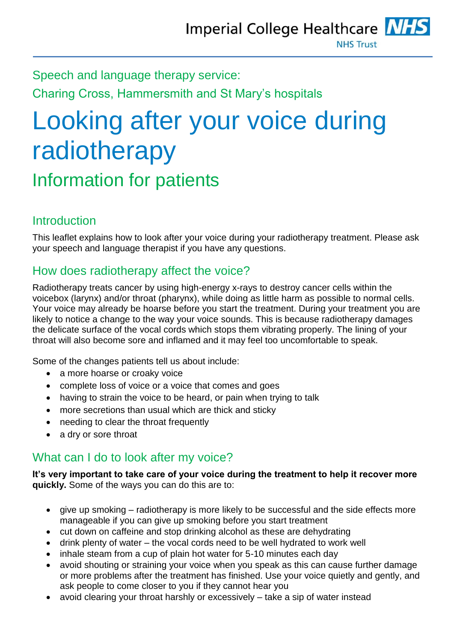Speech and language therapy service: Charing Cross, Hammersmith and St Mary's hospitals

# Looking after your voice during radiotherapy

Information for patients

## **Introduction**

This leaflet explains how to look after your voice during your radiotherapy treatment. Please ask your speech and language therapist if you have any questions.

## How does radiotherapy affect the voice?

Radiotherapy treats cancer by using high-energy x-rays to destroy cancer cells within the voicebox (larynx) and/or throat (pharynx), while doing as little harm as possible to normal cells. Your voice may already be hoarse before you start the treatment. During your treatment you are likely to notice a change to the way your voice sounds. This is because radiotherapy damages the delicate surface of the vocal cords which stops them vibrating properly. The lining of your throat will also become sore and inflamed and it may feel too uncomfortable to speak.

Some of the changes patients tell us about include:

- a more hoarse or croaky voice
- complete loss of voice or a voice that comes and goes
- having to strain the voice to be heard, or pain when trying to talk
- more secretions than usual which are thick and sticky
- needing to clear the throat frequently
- a dry or sore throat

#### What can I do to look after my voice?

**It's very important to take care of your voice during the treatment to help it recover more quickly.** Some of the ways you can do this are to:

- give up smoking radiotherapy is more likely to be successful and the side effects more manageable if you can give up smoking before you start treatment
- cut down on caffeine and stop drinking alcohol as these are dehydrating
- drink plenty of water the vocal cords need to be well hydrated to work well
- inhale steam from a cup of plain hot water for 5-10 minutes each day
- avoid shouting or straining your voice when you speak as this can cause further damage or more problems after the treatment has finished. Use your voice quietly and gently, and ask people to come closer to you if they cannot hear you
- avoid clearing your throat harshly or excessively take a sip of water instead